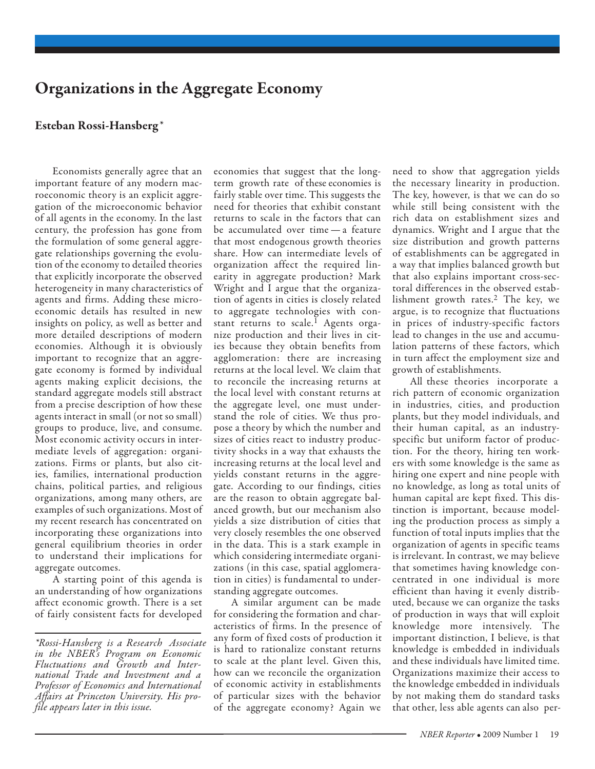## Organizations in the Aggregate Economy

## Esteban Rossi-Hansberg*\**

Economists generally agree that an important feature of any modern macroeconomic theory is an explicit aggregation of the microeconomic behavior of all agents in the economy. In the last century, the profession has gone from the formulation of some general aggregate relationships governing the evolution of the economy to detailed theories that explicitly incorporate the observed heterogeneity in many characteristics of agents and firms. Adding these microeconomic details has resulted in new insights on policy, as well as better and more detailed descriptions of modern economies. Although it is obviously important to recognize that an aggregate economy is formed by individual agents making explicit decisions, the standard aggregate models still abstract from a precise description of how these agents interact in small (or not so small) groups to produce, live, and consume. Most economic activity occurs in intermediate levels of aggregation: organizations. Firms or plants, but also cities, families, international production chains, political parties, and religious organizations, among many others, are examples of such organizations. Most of my recent research has concentrated on incorporating these organizations into general equilibrium theories in order to understand their implications for aggregate outcomes.

A starting point of this agenda is an understanding of how organizations affect economic growth. There is a set of fairly consistent facts for developed economies that suggest that the longterm growth rate of these economies is fairly stable over time. This suggests the need for theories that exhibit constant returns to scale in the factors that can be accumulated over time — a feature that most endogenous growth theories share. How can intermediate levels of organization affect the required linearity in aggregate production? Mark Wright and I argue that the organization of agents in cities is closely related to aggregate technologies with constant returns to scale.<sup>1</sup> Agents organize production and their lives in cities because they obtain benefits from agglomeration: there are increasing returns at the local level. We claim that to reconcile the increasing returns at the local level with constant returns at the aggregate level, one must understand the role of cities. We thus propose a theory by which the number and sizes of cities react to industry productivity shocks in a way that exhausts the increasing returns at the local level and yields constant returns in the aggregate. According to our findings, cities are the reason to obtain aggregate balanced growth, but our mechanism also yields a size distribution of cities that very closely resembles the one observed in the data. This is a stark example in which considering intermediate organizations (in this case, spatial agglomeration in cities) is fundamental to understanding aggregate outcomes.

A similar argument can be made for considering the formation and characteristics of firms. In the presence of any form of fixed costs of production it is hard to rationalize constant returns to scale at the plant level. Given this, how can we reconcile the organization of economic activity in establishments of particular sizes with the behavior of the aggregate economy? Again we

need to show that aggregation yields the necessary linearity in production. The key, however, is that we can do so while still being consistent with the rich data on establishment sizes and dynamics. Wright and I argue that the size distribution and growth patterns of establishments can be aggregated in a way that implies balanced growth but that also explains important cross-sectoral differences in the observed establishment growth rates.2 The key, we argue, is to recognize that fluctuations in prices of industry-specific factors lead to changes in the use and accumulation patterns of these factors, which in turn affect the employment size and growth of establishments.

All these theories incorporate a rich pattern of economic organization in industries, cities, and production plants, but they model individuals, and their human capital, as an industryspecific but uniform factor of production. For the theory, hiring ten workers with some knowledge is the same as hiring one expert and nine people with no knowledge, as long as total units of human capital are kept fixed. This distinction is important, because modeling the production process as simply a function of total inputs implies that the organization of agents in specific teams is irrelevant. In contrast, we may believe that sometimes having knowledge concentrated in one individual is more efficient than having it evenly distributed, because we can organize the tasks of production in ways that will exploit knowledge more intensively. The important distinction, I believe, is that knowledge is embedded in individuals and these individuals have limited time. Organizations maximize their access to the knowledge embedded in individuals by not making them do standard tasks that other, less able agents can also per-

*<sup>\*</sup>Rossi-Hansberg is a Research Associate in the NBER's Program on Economic Fluctuations and Growth and International Trade and Investment and a Professor of Economics and International Affairs at Princeton University. His profile appears later in this issue.*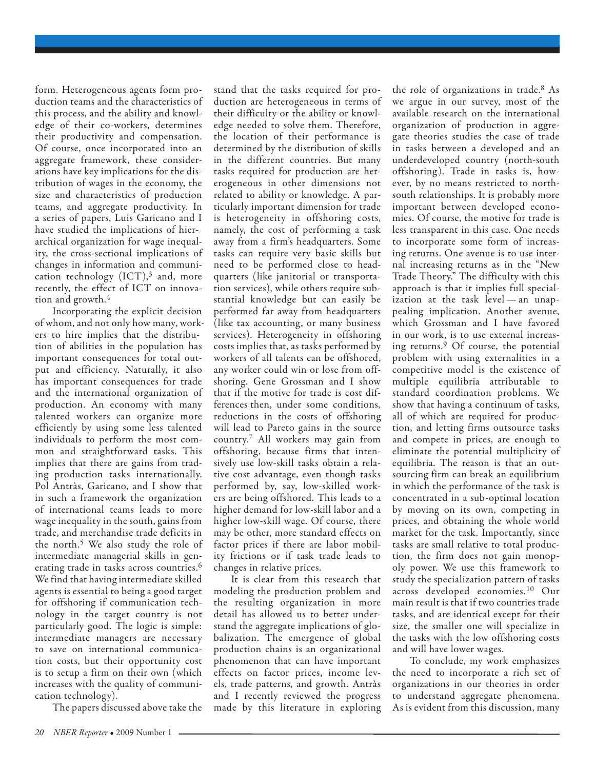form. Heterogeneous agents form production teams and the characteristics of this process, and the ability and knowledge of their co-workers, determines their productivity and compensation. Of course, once incorporated into an aggregate framework, these considerations have key implications for the distribution of wages in the economy, the size and characteristics of production teams, and aggregate productivity. In a series of papers, Luis Garicano and I have studied the implications of hierarchical organization for wage inequality, the cross-sectional implications of changes in information and communication technology  $(ICT),$ <sup>3</sup> and, more recently, the effect of ICT on innovation and growth.<sup>4</sup>

Incorporating the explicit decision of whom, and not only how many, workers to hire implies that the distribution of abilities in the population has important consequences for total output and efficiency. Naturally, it also has important consequences for trade and the international organization of production. An economy with many talented workers can organize more efficiently by using some less talented individuals to perform the most common and straightforward tasks. This implies that there are gains from trading production tasks internationally. Pol Antràs, Garicano, and I show that in such a framework the organization of international teams leads to more wage inequality in the south, gains from trade, and merchandise trade deficits in the north.5 We also study the role of intermediate managerial skills in generating trade in tasks across countries.<sup>6</sup> We find that having intermediate skilled agents is essential to being a good target for offshoring if communication technology in the target country is not particularly good. The logic is simple: intermediate managers are necessary to save on international communication costs, but their opportunity cost is to setup a firm on their own (which increases with the quality of communication technology).

The papers discussed above take the

stand that the tasks required for production are heterogeneous in terms of their difficulty or the ability or knowledge needed to solve them. Therefore, the location of their performance is determined by the distribution of skills in the different countries. But many tasks required for production are heterogeneous in other dimensions not related to ability or knowledge. A particularly important dimension for trade is heterogeneity in offshoring costs, namely, the cost of performing a task away from a firm's headquarters. Some tasks can require very basic skills but need to be performed close to headquarters (like janitorial or transportation services), while others require substantial knowledge but can easily be performed far away from headquarters (like tax accounting, or many business services). Heterogeneity in offshoring costs implies that, as tasks performed by workers of all talents can be offshored, any worker could win or lose from offshoring. Gene Grossman and I show that if the motive for trade is cost differences then, under some conditions, reductions in the costs of offshoring will lead to Pareto gains in the source country.7 All workers may gain from offshoring, because firms that intensively use low-skill tasks obtain a relative cost advantage, even though tasks performed by, say, low-skilled workers are being offshored. This leads to a higher demand for low-skill labor and a higher low-skill wage. Of course, there may be other, more standard effects on factor prices if there are labor mobility frictions or if task trade leads to changes in relative prices.

It is clear from this research that modeling the production problem and the resulting organization in more detail has allowed us to better understand the aggregate implications of globalization. The emergence of global production chains is an organizational phenomenon that can have important effects on factor prices, income levels, trade patterns, and growth. Antràs and I recently reviewed the progress made by this literature in exploring the role of organizations in trade.8 As we argue in our survey, most of the available research on the international organization of production in aggregate theories studies the case of trade in tasks between a developed and an underdeveloped country (north-south offshoring ). Trade in tasks is, however, by no means restricted to northsouth relationships. It is probably more important between developed economies. Of course, the motive for trade is less transparent in this case. One needs to incorporate some form of increasing returns. One avenue is to use internal increasing returns as in the "New Trade Theory." The difficulty with this approach is that it implies full specialization at the task level — an unappealing implication. Another avenue, which Grossman and I have favored in our work, is to use external increasing returns.9 Of course, the potential problem with using externalities in a competitive model is the existence of multiple equilibria attributable to standard coordination problems. We show that having a continuum of tasks, all of which are required for production, and letting firms outsource tasks and compete in prices, are enough to eliminate the potential multiplicity of equilibria. The reason is that an outsourcing firm can break an equilibrium in which the performance of the task is concentrated in a sub-optimal location by moving on its own, competing in prices, and obtaining the whole world market for the task. Importantly, since tasks are small relative to total production, the firm does not gain monopoly power. We use this framework to study the specialization pattern of tasks across developed economies.10 Our main result is that if two countries trade tasks, and are identical except for their size, the smaller one will specialize in the tasks with the low offshoring costs and will have lower wages.

To conclude, my work emphasizes the need to incorporate a rich set of organizations in our theories in order to understand aggregate phenomena. As is evident from this discussion, many